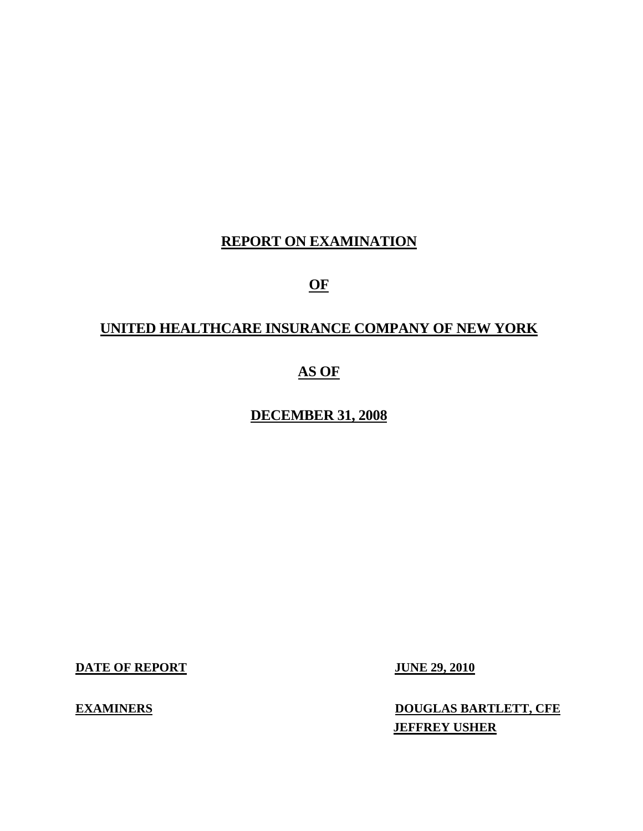# **REPORT ON EXAMINATION**

# **OF**

# **UNITED HEALTHCARE INSURANCE COMPANY OF NEW YORK**

# **AS OF**

# **DECEMBER 31, 2008**

**DATE OF REPORT JUNE 29, 2010** 

**EXAMINERS** DOUGLAS BARTLETT, CFE **JEFFREY USHER**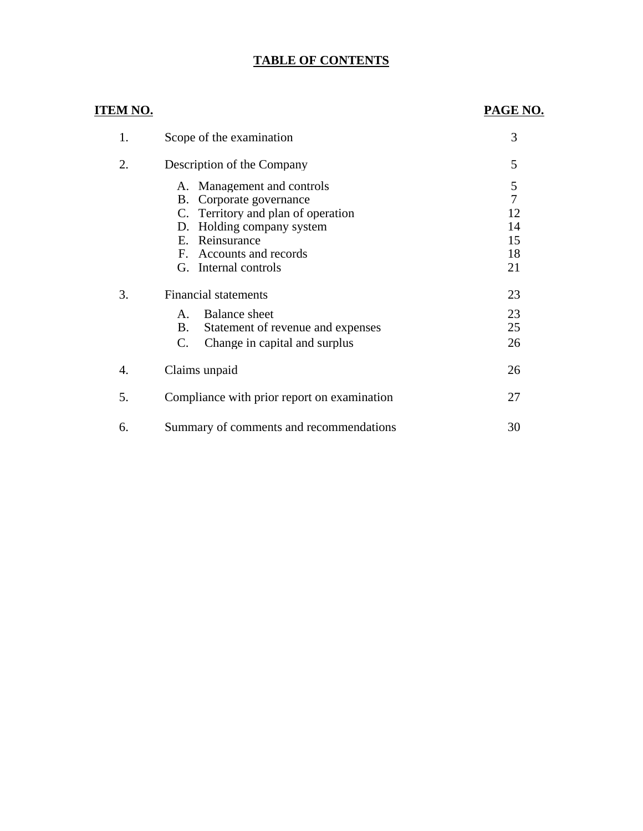# **TABLE OF CONTENTS**

# **ITEM NO.**

# **PAGE NO.**

| 1. | Scope of the examination                                                                                                                                                                            | 3                                                 |
|----|-----------------------------------------------------------------------------------------------------------------------------------------------------------------------------------------------------|---------------------------------------------------|
| 2. | Description of the Company                                                                                                                                                                          | 5                                                 |
|    | Management and controls<br>А.<br>B. Corporate governance<br>C. Territory and plan of operation<br>Holding company system<br>D.<br>E. Reinsurance<br>F. Accounts and records<br>G. Internal controls | 5<br>$\overline{7}$<br>12<br>14<br>15<br>18<br>21 |
| 3. | <b>Financial statements</b>                                                                                                                                                                         | 23                                                |
|    | Balance sheet<br>$A_{-}$<br>B.<br>Statement of revenue and expenses<br>C.<br>Change in capital and surplus                                                                                          | 23<br>25<br>26                                    |
| 4. | Claims unpaid                                                                                                                                                                                       | 26                                                |
| 5. | Compliance with prior report on examination                                                                                                                                                         | 27                                                |
| 6. | Summary of comments and recommendations                                                                                                                                                             | 30                                                |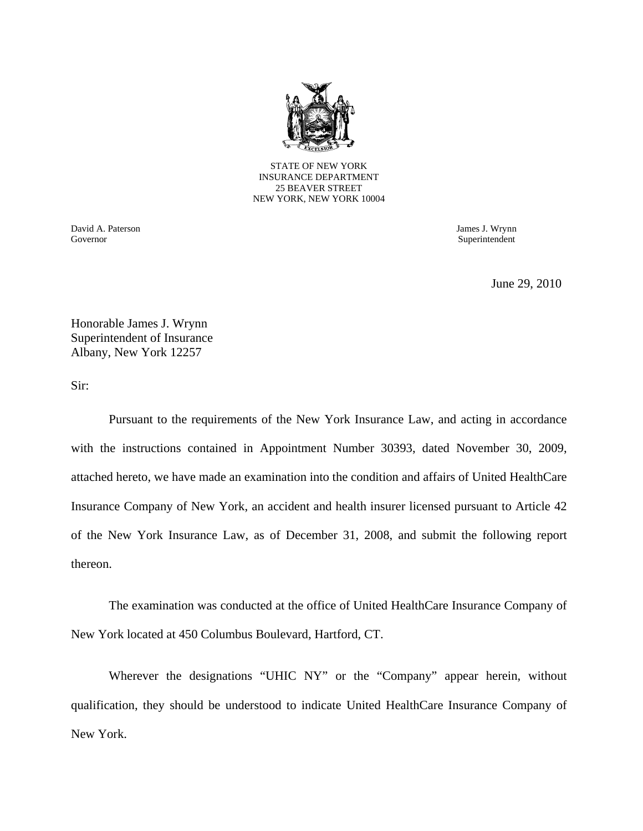

STATE OF NEW YORK INSURANCE DEPARTMENT 25 BEAVER STREET NEW YORK, NEW YORK 10004

David A. Paterson James J. Wrynn Governor Superintendent Superintendent Superintendent Superintendent Superintendent Superintendent Superintendent Superintendent Superintendent Superintendent Superintendent Superintendent Superintendent Superintendent Sup

June 29, 2010

Honorable James J. Wrynn Superintendent of Insurance Albany, New York 12257

Sir:

Pursuant to the requirements of the New York Insurance Law, and acting in accordance with the instructions contained in Appointment Number 30393, dated November 30, 2009, attached hereto, we have made an examination into the condition and affairs of United HealthCare Insurance Company of New York, an accident and health insurer licensed pursuant to Article 42 of the New York Insurance Law, as of December 31, 2008, and submit the following report thereon.

The examination was conducted at the office of United HealthCare Insurance Company of New York located at 450 Columbus Boulevard, Hartford, CT.

Wherever the designations "UHIC NY" or the "Company" appear herein, without qualification, they should be understood to indicate United HealthCare Insurance Company of New York.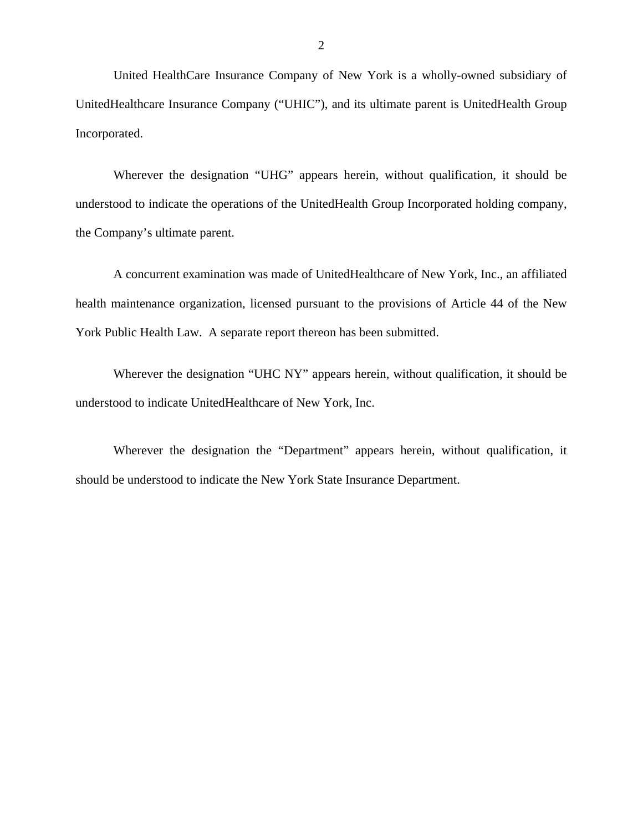United HealthCare Insurance Company of New York is a wholly-owned subsidiary of UnitedHealthcare Insurance Company ("UHIC"), and its ultimate parent is UnitedHealth Group Incorporated.

Wherever the designation "UHG" appears herein, without qualification, it should be understood to indicate the operations of the UnitedHealth Group Incorporated holding company, the Company's ultimate parent.

A concurrent examination was made of UnitedHealthcare of New York, Inc., an affiliated health maintenance organization, licensed pursuant to the provisions of Article 44 of the New York Public Health Law. A separate report thereon has been submitted.

Wherever the designation "UHC NY" appears herein, without qualification, it should be understood to indicate UnitedHealthcare of New York, Inc.

Wherever the designation the "Department" appears herein, without qualification, it should be understood to indicate the New York State Insurance Department.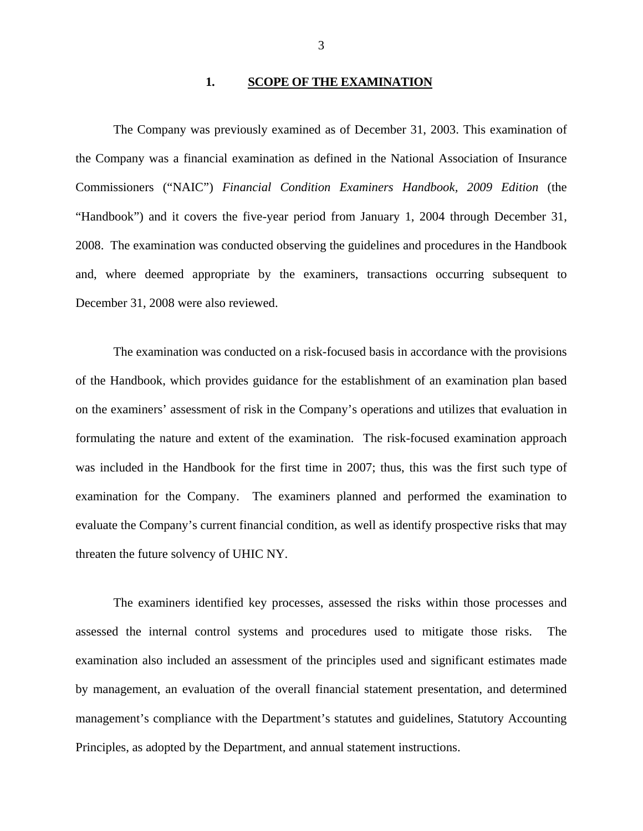### **1. SCOPE OF THE EXAMINATION**

The Company was previously examined as of December 31, 2003. This examination of the Company was a financial examination as defined in the National Association of Insurance Commissioners ("NAIC") *Financial Condition Examiners Handbook, 2009 Edition* (the "Handbook") and it covers the five-year period from January 1, 2004 through December 31, 2008. The examination was conducted observing the guidelines and procedures in the Handbook and, where deemed appropriate by the examiners, transactions occurring subsequent to December 31, 2008 were also reviewed.

The examination was conducted on a risk-focused basis in accordance with the provisions of the Handbook, which provides guidance for the establishment of an examination plan based on the examiners' assessment of risk in the Company's operations and utilizes that evaluation in formulating the nature and extent of the examination. The risk-focused examination approach was included in the Handbook for the first time in 2007; thus, this was the first such type of examination for the Company. The examiners planned and performed the examination to evaluate the Company's current financial condition, as well as identify prospective risks that may threaten the future solvency of UHIC NY.

The examiners identified key processes, assessed the risks within those processes and assessed the internal control systems and procedures used to mitigate those risks. The examination also included an assessment of the principles used and significant estimates made by management, an evaluation of the overall financial statement presentation, and determined management's compliance with the Department's statutes and guidelines, Statutory Accounting Principles, as adopted by the Department, and annual statement instructions.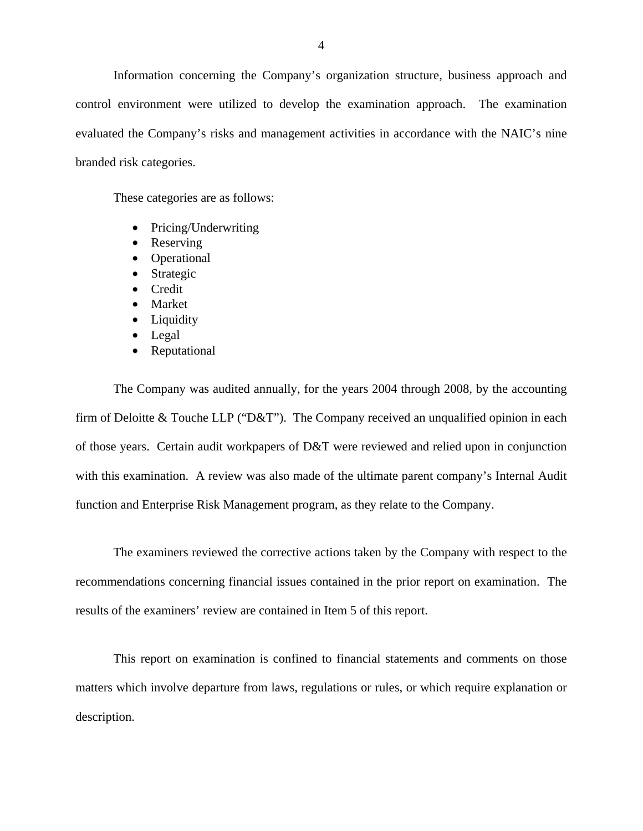Information concerning the Company's organization structure, business approach and control environment were utilized to develop the examination approach. The examination evaluated the Company's risks and management activities in accordance with the NAIC's nine branded risk categories.

These categories are as follows:

- Pricing/Underwriting
- Reserving
- Operational
- Strategic
- Credit
- Market
- Liquidity
- Legal
- Reputational

The Company was audited annually, for the years 2004 through 2008, by the accounting firm of Deloitte & Touche LLP ("D&T"). The Company received an unqualified opinion in each of those years. Certain audit workpapers of D&T were reviewed and relied upon in conjunction with this examination. A review was also made of the ultimate parent company's Internal Audit function and Enterprise Risk Management program, as they relate to the Company.

The examiners reviewed the corrective actions taken by the Company with respect to the recommendations concerning financial issues contained in the prior report on examination. The results of the examiners' review are contained in Item 5 of this report.

This report on examination is confined to financial statements and comments on those matters which involve departure from laws, regulations or rules, or which require explanation or description.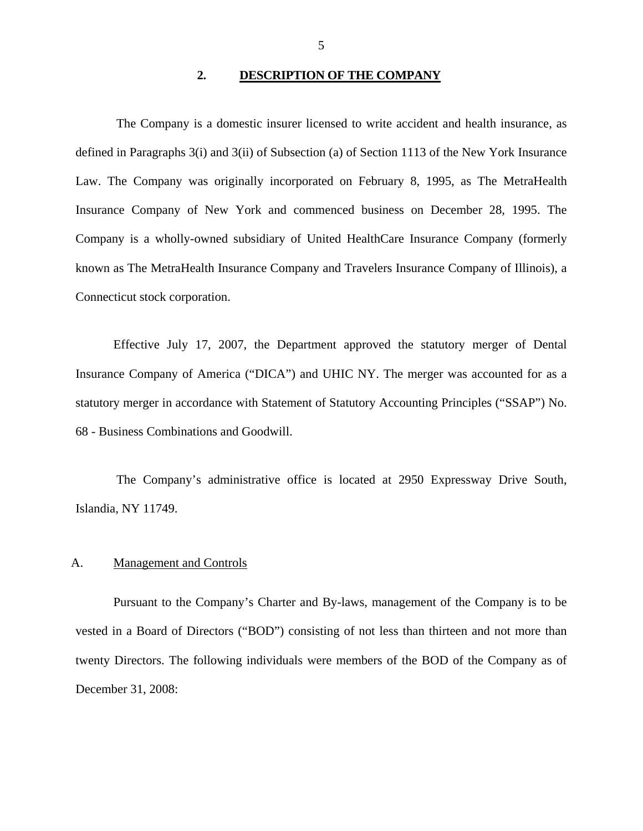### **2. DESCRIPTION OF THE COMPANY**

<span id="page-6-0"></span>The Company is a domestic insurer licensed to write accident and health insurance, as defined in Paragraphs 3(i) and 3(ii) of Subsection (a) of Section 1113 of the New York Insurance Law. The Company was originally incorporated on February 8, 1995, as The MetraHealth Insurance Company of New York and commenced business on December 28, 1995. The Company is a wholly-owned subsidiary of United HealthCare Insurance Company (formerly known as The MetraHealth Insurance Company and Travelers Insurance Company of Illinois), a Connecticut stock corporation.

Effective July 17, 2007, the Department approved the statutory merger of Dental Insurance Company of America ("DICA") and UHIC NY. The merger was accounted for as a statutory merger in accordance with Statement of Statutory Accounting Principles ("SSAP") No. 68 - Business Combinations and Goodwill.

The Company's administrative office is located at 2950 Expressway Drive South, Islandia, NY 11749.

### A. Management and Controls

Pursuant to the Company's Charter and By-laws, management of the Company is to be vested in a Board of Directors ("BOD") consisting of not less than thirteen and not more than twenty Directors. The following individuals were members of the BOD of the Company as of December 31, 2008: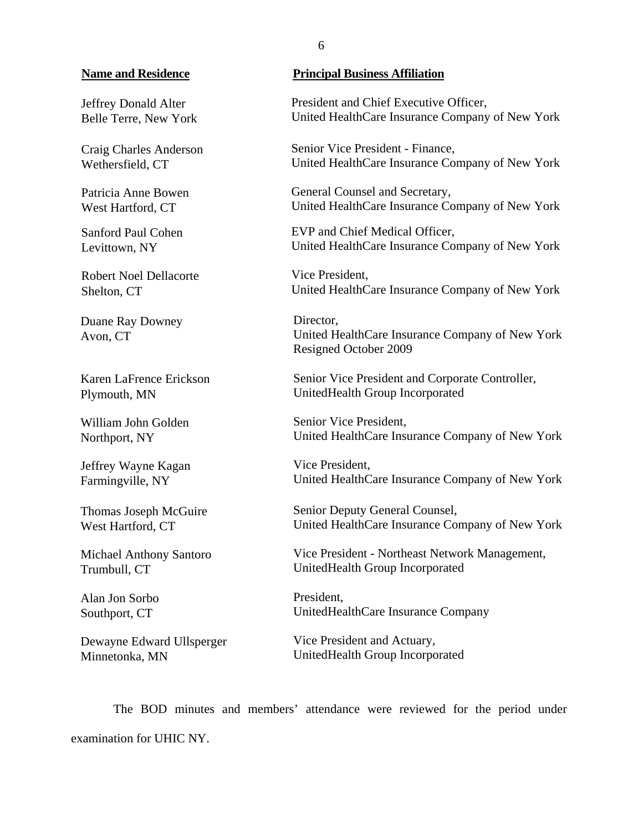### **Name and Residence**

Jeffrey Donald Alter Belle Terre, New York

Craig Charles Anderson Wethersfield, CT

Patricia Anne Bowen West Hartford, CT

Sanford Paul Cohen Levittown, NY

Robert Noel Dellacorte Shelton, CT

Duane Ray Downey Avon, CT

Karen LaFrence Erickson Plymouth, MN

William John Golden Northport, NY

Jeffrey Wayne Kagan Farmingville, NY

Thomas Joseph McGuire West Hartford, CT

Michael Anthony Santoro Trumbull, CT

Alan Jon Sorbo Southport, CT

Dewayne Edward Ullsperger Minnetonka, MN

### **Principal Business Affiliation**

President and Chief Executive Officer, United HealthCare Insurance Company of New York

Senior Vice President - Finance, United HealthCare Insurance Company of New York

General Counsel and Secretary, United HealthCare Insurance Company of New York

EVP and Chief Medical Officer, United HealthCare Insurance Company of New York

Vice President, United HealthCare Insurance Company of New York

Director, United HealthCare Insurance Company of New York Resigned October 2009

Senior Vice President and Corporate Controller, UnitedHealth Group Incorporated

Senior Vice President, United HealthCare Insurance Company of New York

Vice President, United HealthCare Insurance Company of New York

Senior Deputy General Counsel, United HealthCare Insurance Company of New York

Vice President - Northeast Network Management, UnitedHealth Group Incorporated

President, UnitedHealthCare Insurance Company

Vice President and Actuary, UnitedHealth Group Incorporated

The BOD minutes and members' attendance were reviewed for the period under examination for UHIC NY.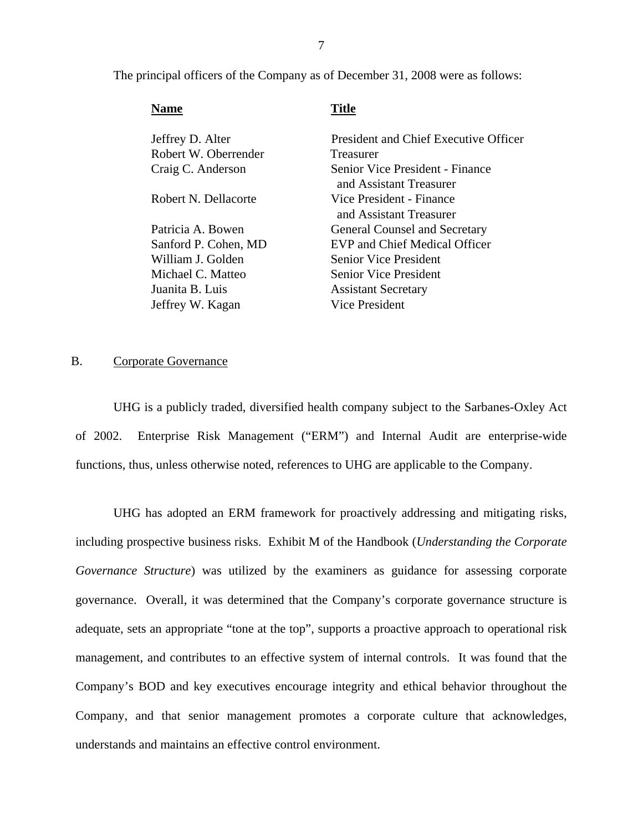<span id="page-8-0"></span>The principal officers of the Company as of December 31, 2008 were as follows:

| <b>Name</b>          | Title                                                      |
|----------------------|------------------------------------------------------------|
| Jeffrey D. Alter     | President and Chief Executive Officer                      |
| Robert W. Oberrender | Treasurer                                                  |
| Craig C. Anderson    | Senior Vice President - Finance<br>and Assistant Treasurer |
| Robert N. Dellacorte | Vice President - Finance<br>and Assistant Treasurer        |
| Patricia A. Bowen    | <b>General Counsel and Secretary</b>                       |
| Sanford P. Cohen, MD | <b>EVP and Chief Medical Officer</b>                       |
| William J. Golden    | Senior Vice President                                      |
| Michael C. Matteo    | Senior Vice President                                      |
| Juanita B. Luis      | <b>Assistant Secretary</b>                                 |
| Jeffrey W. Kagan     | <b>Vice President</b>                                      |
|                      |                                                            |

### B. Corporate Governance

UHG is a publicly traded, diversified health company subject to the Sarbanes-Oxley Act of 2002. Enterprise Risk Management ("ERM") and Internal Audit are enterprise-wide functions, thus, unless otherwise noted, references to UHG are applicable to the Company.

UHG has adopted an ERM framework for proactively addressing and mitigating risks, including prospective business risks. Exhibit M of the Handbook (*Understanding the Corporate Governance Structure*) was utilized by the examiners as guidance for assessing corporate governance. Overall, it was determined that the Company's corporate governance structure is adequate, sets an appropriate "tone at the top", supports a proactive approach to operational risk management, and contributes to an effective system of internal controls. It was found that the Company's BOD and key executives encourage integrity and ethical behavior throughout the Company, and that senior management promotes a corporate culture that acknowledges, understands and maintains an effective control environment.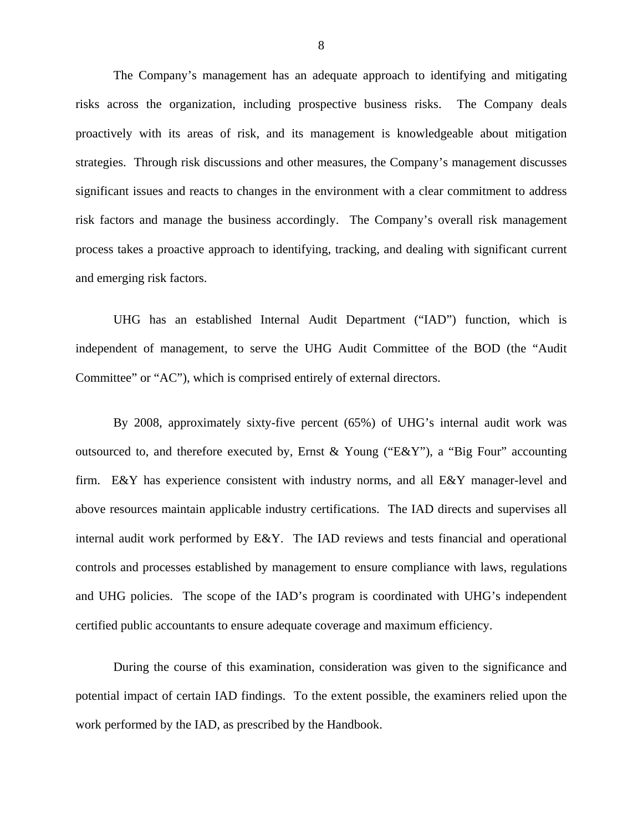The Company's management has an adequate approach to identifying and mitigating risks across the organization, including prospective business risks. The Company deals proactively with its areas of risk, and its management is knowledgeable about mitigation strategies. Through risk discussions and other measures, the Company's management discusses significant issues and reacts to changes in the environment with a clear commitment to address risk factors and manage the business accordingly. The Company's overall risk management process takes a proactive approach to identifying, tracking, and dealing with significant current and emerging risk factors.

Committee" or "AC"), which is comprised entirely of external directors. UHG has an established Internal Audit Department ("IAD") function, which is independent of management, to serve the UHG Audit Committee of the BOD (the "Audit

By 2008, approximately sixty-five percent (65%) of UHG's internal audit work was outsourced to, and therefore executed by, Ernst & Young ("E&Y"), a "Big Four" accounting firm. E&Y has experience consistent with industry norms, and all E&Y manager-level and above resources maintain applicable industry certifications. The IAD directs and supervises all internal audit work performed by E&Y. The IAD reviews and tests financial and operational controls and processes established by management to ensure compliance with laws, regulations and UHG policies. The scope of the IAD's program is coordinated with UHG's independent certified public accountants to ensure adequate coverage and maximum efficiency.

During the course of this examination, consideration was given to the significance and potential impact of certain IAD findings. To the extent possible, the examiners relied upon the work performed by the IAD, as prescribed by the Handbook.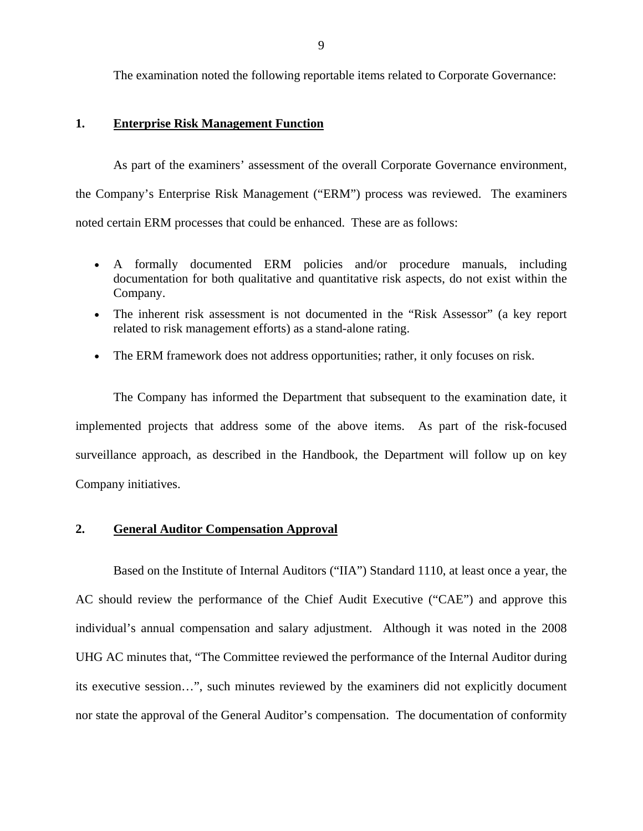The examination noted the following reportable items related to Corporate Governance:

### **1. Enterprise Risk Management Function**

As part of the examiners' assessment of the overall Corporate Governance environment, the Company's Enterprise Risk Management ("ERM") process was reviewed. The examiners noted certain ERM processes that could be enhanced. These are as follows:

- A formally documented ERM policies and/or procedure manuals, including documentation for both qualitative and quantitative risk aspects, do not exist within the Company.
- The inherent risk assessment is not documented in the "Risk Assessor" (a key report related to risk management efforts) as a stand-alone rating.
- The ERM framework does not address opportunities; rather, it only focuses on risk.

The Company has informed the Department that subsequent to the examination date, it implemented projects that address some of the above items. As part of the risk-focused surveillance approach, as described in the Handbook, the Department will follow up on key Company initiatives.

### **2. General Auditor Compensation Approval**

Based on the Institute of Internal Auditors ("IIA") Standard 1110, at least once a year, the AC should review the performance of the Chief Audit Executive ("CAE") and approve this individual's annual compensation and salary adjustment. Although it was noted in the 2008 UHG AC minutes that, "The Committee reviewed the performance of the Internal Auditor during its executive session…", such minutes reviewed by the examiners did not explicitly document nor state the approval of the General Auditor's compensation. The documentation of conformity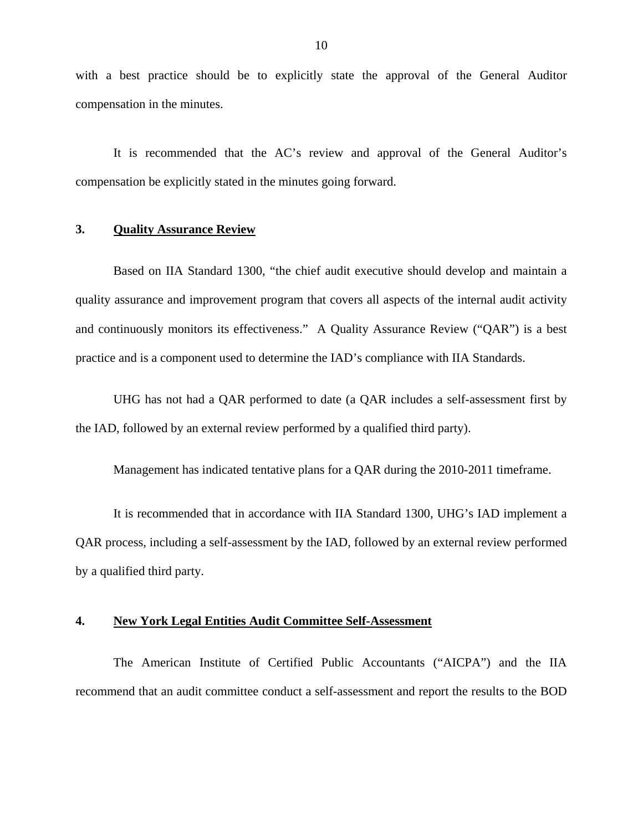with a best practice should be to explicitly state the approval of the General Auditor compensation in the minutes.

It is recommended that the AC's review and approval of the General Auditor's compensation be explicitly stated in the minutes going forward.

### **3. Quality Assurance Review**

Based on IIA Standard 1300, "the chief audit executive should develop and maintain a quality assurance and improvement program that covers all aspects of the internal audit activity and continuously monitors its effectiveness." A Quality Assurance Review ("QAR") is a best practice and is a component used to determine the IAD's compliance with IIA Standards.

UHG has not had a QAR performed to date (a QAR includes a self-assessment first by the IAD, followed by an external review performed by a qualified third party).

Management has indicated tentative plans for a QAR during the 2010-2011 timeframe.

It is recommended that in accordance with IIA Standard 1300, UHG's IAD implement a QAR process, including a self-assessment by the IAD, followed by an external review performed by a qualified third party.

### **4. New York Legal Entities Audit Committee Self-Assessment**

The American Institute of Certified Public Accountants ("AICPA") and the IIA recommend that an audit committee conduct a self-assessment and report the results to the BOD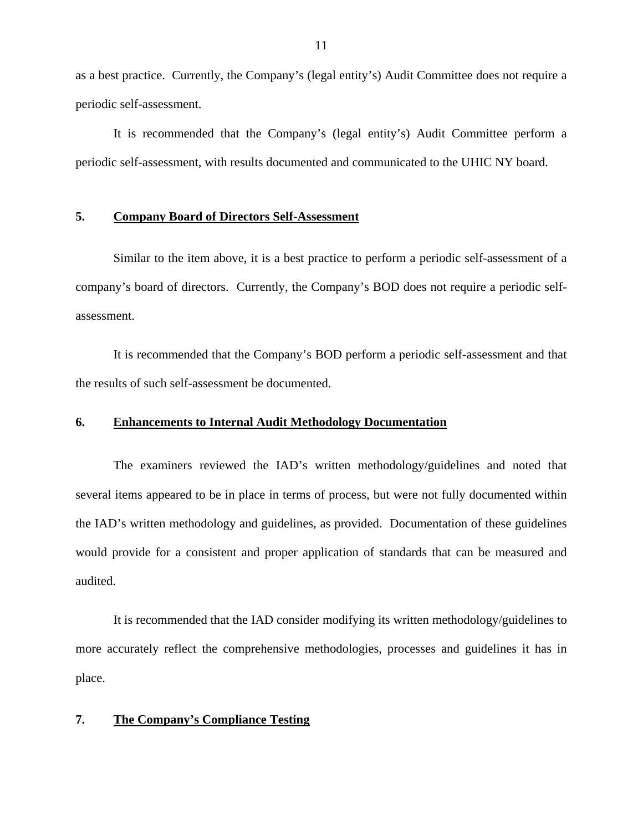as a best practice. Currently, the Company's (legal entity's) Audit Committee does not require a periodic self-assessment.

It is recommended that the Company's (legal entity's) Audit Committee perform a periodic self-assessment, with results documented and communicated to the UHIC NY board.

### **5. Company Board of Directors Self-Assessment**

Similar to the item above, it is a best practice to perform a periodic self-assessment of a company's board of directors. Currently, the Company's BOD does not require a periodic selfassessment.

It is recommended that the Company's BOD perform a periodic self-assessment and that the results of such self-assessment be documented.

### **6. Enhancements to Internal Audit Methodology Documentation**

The examiners reviewed the IAD's written methodology/guidelines and noted that several items appeared to be in place in terms of process, but were not fully documented within the IAD's written methodology and guidelines, as provided. Documentation of these guidelines would provide for a consistent and proper application of standards that can be measured and audited.

It is recommended that the IAD consider modifying its written methodology/guidelines to more accurately reflect the comprehensive methodologies, processes and guidelines it has in place.

### **7. The Company's Compliance Testing**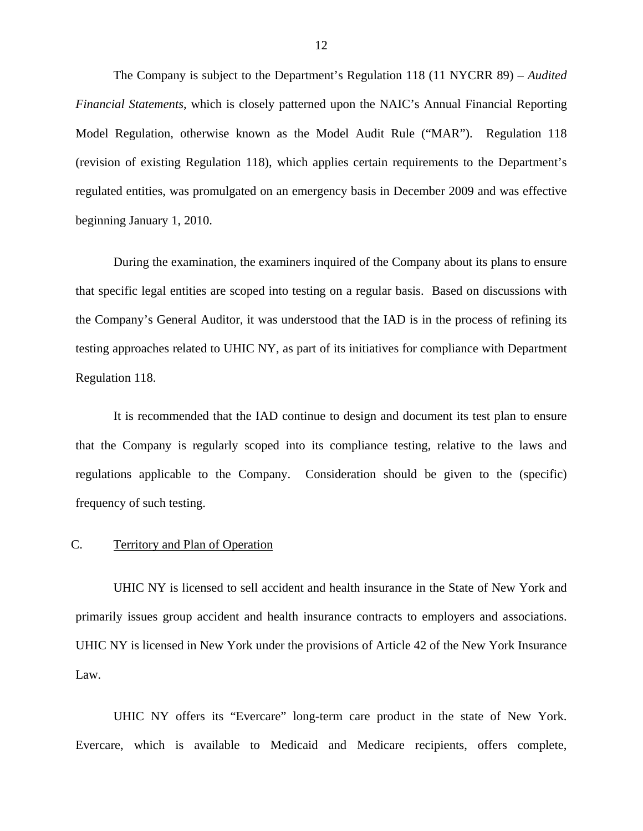<span id="page-13-0"></span>The Company is subject to the Department's Regulation 118 (11 NYCRR 89) – *Audited Financial Statements*, which is closely patterned upon the NAIC's Annual Financial Reporting Model Regulation, otherwise known as the Model Audit Rule ("MAR"). Regulation 118 (revision of existing Regulation 118), which applies certain requirements to the Department's regulated entities, was promulgated on an emergency basis in December 2009 and was effective beginning January 1, 2010.

During the examination, the examiners inquired of the Company about its plans to ensure that specific legal entities are scoped into testing on a regular basis. Based on discussions with the Company's General Auditor, it was understood that the IAD is in the process of refining its testing approaches related to UHIC NY, as part of its initiatives for compliance with Department Regulation 118.

It is recommended that the IAD continue to design and document its test plan to ensure that the Company is regularly scoped into its compliance testing, relative to the laws and regulations applicable to the Company. Consideration should be given to the (specific) frequency of such testing.

### C. Territory and Plan of Operation

UHIC NY is licensed to sell accident and health insurance in the State of New York and primarily issues group accident and health insurance contracts to employers and associations. UHIC NY is licensed in New York under the provisions of Article 42 of the New York Insurance Law.

UHIC NY offers its "Evercare" long-term care product in the state of New York. Evercare, which is available to Medicaid and Medicare recipients, offers complete,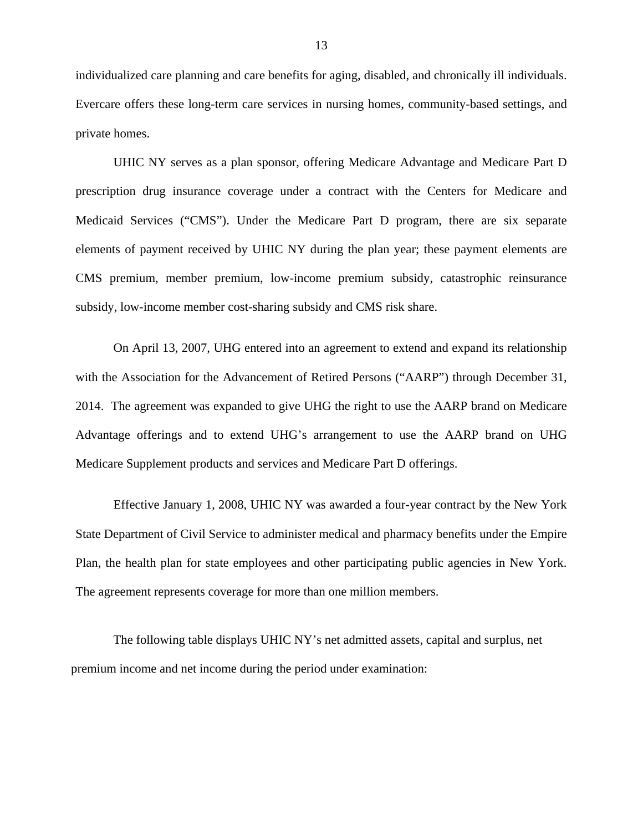individualized care planning and care benefits for aging, disabled, and chronically ill individuals. Evercare offers these long-term care services in nursing homes, community-based settings, and private homes.

UHIC NY serves as a plan sponsor, offering Medicare Advantage and Medicare Part D prescription drug insurance coverage under a contract with the Centers for Medicare and Medicaid Services ("CMS"). Under the Medicare Part D program, there are six separate elements of payment received by UHIC NY during the plan year; these payment elements are CMS premium, member premium, low-income premium subsidy, catastrophic reinsurance subsidy, low-income member cost-sharing subsidy and CMS risk share.

On April 13, 2007, UHG entered into an agreement to extend and expand its relationship with the Association for the Advancement of Retired Persons ("AARP") through December 31, 2014. The agreement was expanded to give UHG the right to use the AARP brand on Medicare Advantage offerings and to extend UHG's arrangement to use the AARP brand on UHG Medicare Supplement products and services and Medicare Part D offerings.

 Plan, the health plan for state employees and other participating public agencies in New York. The agreement represents coverage for more than one million members. Effective January 1, 2008, UHIC NY was awarded a four-year contract by the New York State Department of Civil Service to administer medical and pharmacy benefits under the Empire

The following table displays UHIC NY's net admitted assets, capital and surplus, net premium income and net income during the period under examination: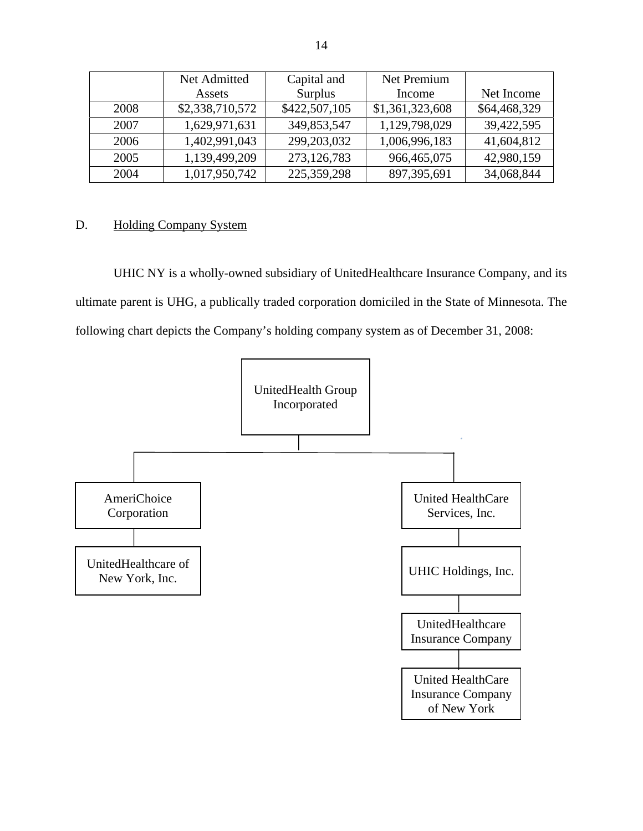|      | Net Admitted    | Capital and   | Net Premium     |              |
|------|-----------------|---------------|-----------------|--------------|
|      | Assets          | Surplus       | Income          | Net Income   |
| 2008 | \$2,338,710,572 | \$422,507,105 | \$1,361,323,608 | \$64,468,329 |
| 2007 | 1,629,971,631   | 349,853,547   | 1,129,798,029   | 39,422,595   |
| 2006 | 1,402,991,043   | 299,203,032   | 1,006,996,183   | 41,604,812   |
| 2005 | 1,139,499,209   | 273,126,783   | 966, 465, 075   | 42,980,159   |
| 2004 | 1,017,950,742   | 225, 359, 298 | 897,395,691     | 34,068,844   |

### D. Holding Company System

UHIC NY is a wholly-owned subsidiary of UnitedHealthcare Insurance Company, and its ultimate parent is UHG, a publically traded corporation domiciled in the State of Minnesota. The following chart depicts the Company's holding company system as of December 31, 2008:

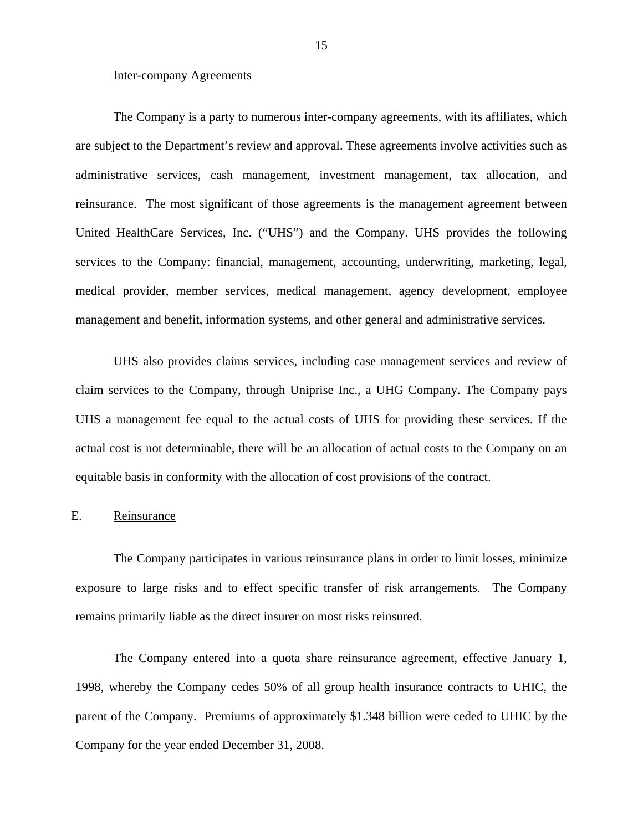### <span id="page-16-0"></span>Inter-company Agreements

The Company is a party to numerous inter-company agreements, with its affiliates, which are subject to the Department's review and approval. These agreements involve activities such as administrative services, cash management, investment management, tax allocation, and reinsurance. The most significant of those agreements is the management agreement between United HealthCare Services, Inc. ("UHS") and the Company. UHS provides the following services to the Company: financial, management, accounting, underwriting, marketing, legal, medical provider, member services, medical management, agency development, employee management and benefit, information systems, and other general and administrative services.

UHS also provides claims services, including case management services and review of claim services to the Company, through Uniprise Inc., a UHG Company. The Company pays UHS a management fee equal to the actual costs of UHS for providing these services. If the actual cost is not determinable, there will be an allocation of actual costs to the Company on an equitable basis in conformity with the allocation of cost provisions of the contract.

### E. Reinsurance

The Company participates in various reinsurance plans in order to limit losses, minimize exposure to large risks and to effect specific transfer of risk arrangements. The Company remains primarily liable as the direct insurer on most risks reinsured.

The Company entered into a quota share reinsurance agreement, effective January 1, 1998, whereby the Company cedes 50% of all group health insurance contracts to UHIC, the parent of the Company. Premiums of approximately \$1.348 billion were ceded to UHIC by the Company for the year ended December 31, 2008.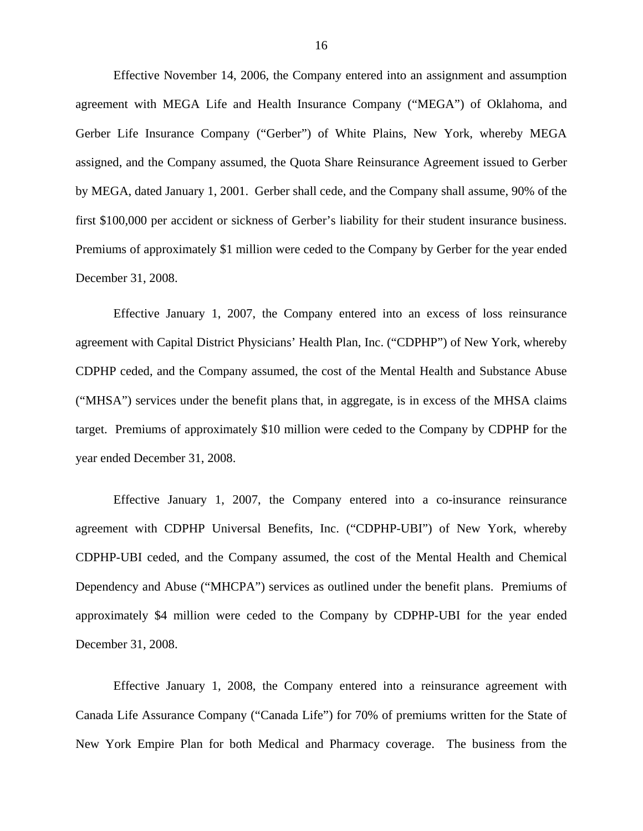Effective November 14, 2006, the Company entered into an assignment and assumption agreement with MEGA Life and Health Insurance Company ("MEGA") of Oklahoma, and Gerber Life Insurance Company ("Gerber") of White Plains, New York, whereby MEGA assigned, and the Company assumed, the Quota Share Reinsurance Agreement issued to Gerber by MEGA, dated January 1, 2001. Gerber shall cede, and the Company shall assume, 90% of the first \$100,000 per accident or sickness of Gerber's liability for their student insurance business. Premiums of approximately \$1 million were ceded to the Company by Gerber for the year ended December 31, 2008.

Effective January 1, 2007, the Company entered into an excess of loss reinsurance agreement with Capital District Physicians' Health Plan, Inc. ("CDPHP") of New York, whereby CDPHP ceded, and the Company assumed, the cost of the Mental Health and Substance Abuse ("MHSA") services under the benefit plans that, in aggregate, is in excess of the MHSA claims target. Premiums of approximately \$10 million were ceded to the Company by CDPHP for the year ended December 31, 2008.

Effective January 1, 2007, the Company entered into a co-insurance reinsurance agreement with CDPHP Universal Benefits, Inc. ("CDPHP-UBI") of New York, whereby CDPHP-UBI ceded, and the Company assumed, the cost of the Mental Health and Chemical Dependency and Abuse ("MHCPA") services as outlined under the benefit plans. Premiums of approximately \$4 million were ceded to the Company by CDPHP-UBI for the year ended December 31, 2008.

Effective January 1, 2008, the Company entered into a reinsurance agreement with Canada Life Assurance Company ("Canada Life") for 70% of premiums written for the State of New York Empire Plan for both Medical and Pharmacy coverage. The business from the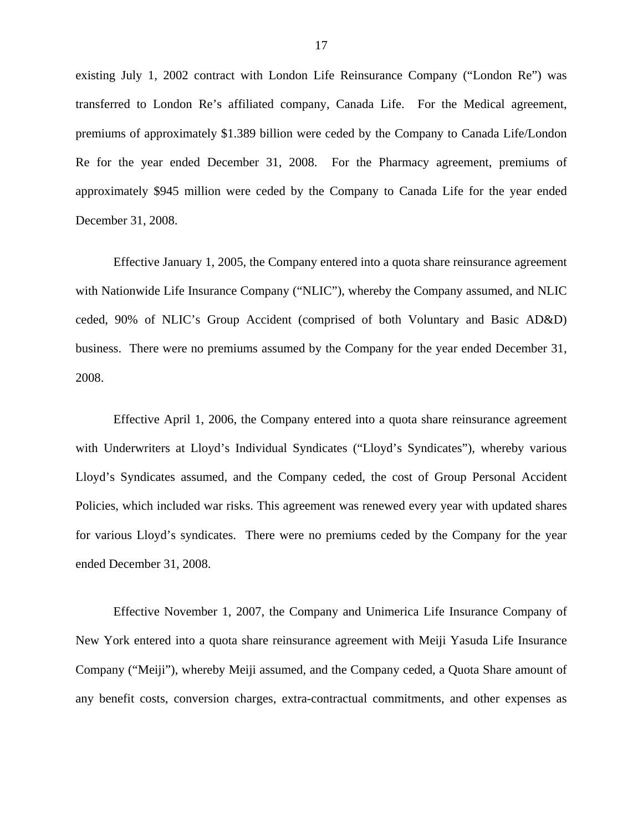existing July 1, 2002 contract with London Life Reinsurance Company ("London Re") was transferred to London Re's affiliated company, Canada Life. For the Medical agreement, premiums of approximately \$1.389 billion were ceded by the Company to Canada Life/London Re for the year ended December 31, 2008. For the Pharmacy agreement, premiums of approximately \$945 million were ceded by the Company to Canada Life for the year ended December 31, 2008.

Effective January 1, 2005, the Company entered into a quota share reinsurance agreement with Nationwide Life Insurance Company ("NLIC"), whereby the Company assumed, and NLIC ceded, 90% of NLIC's Group Accident (comprised of both Voluntary and Basic AD&D) business. There were no premiums assumed by the Company for the year ended December 31, 2008.

Effective April 1, 2006, the Company entered into a quota share reinsurance agreement with Underwriters at Lloyd's Individual Syndicates ("Lloyd's Syndicates"), whereby various Lloyd's Syndicates assumed, and the Company ceded, the cost of Group Personal Accident Policies, which included war risks. This agreement was renewed every year with updated shares for various Lloyd's syndicates. There were no premiums ceded by the Company for the year ended December 31, 2008.

Effective November 1, 2007, the Company and Unimerica Life Insurance Company of New York entered into a quota share reinsurance agreement with Meiji Yasuda Life Insurance Company ("Meiji"), whereby Meiji assumed, and the Company ceded, a Quota Share amount of any benefit costs, conversion charges, extra-contractual commitments, and other expenses as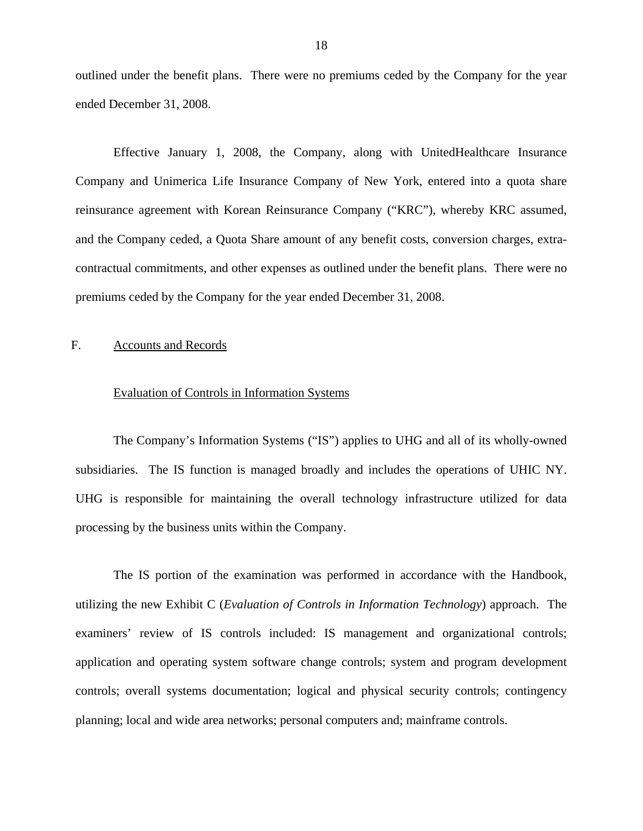<span id="page-19-0"></span>outlined under the benefit plans. There were no premiums ceded by the Company for the year ended December 31, 2008.

Effective January 1, 2008, the Company, along with UnitedHealthcare Insurance Company and Unimerica Life Insurance Company of New York, entered into a quota share reinsurance agreement with Korean Reinsurance Company ("KRC"), whereby KRC assumed, and the Company ceded, a Quota Share amount of any benefit costs, conversion charges, extracontractual commitments, and other expenses as outlined under the benefit plans. There were no premiums ceded by the Company for the year ended December 31, 2008.

### F. Accounts and Records

### Evaluation of Controls in Information Systems

The Company's Information Systems ("IS") applies to UHG and all of its wholly-owned subsidiaries. The IS function is managed broadly and includes the operations of UHIC NY. UHG is responsible for maintaining the overall technology infrastructure utilized for data processing by the business units within the Company.

The IS portion of the examination was performed in accordance with the Handbook, utilizing the new Exhibit C (*Evaluation of Controls in Information Technology*) approach. The examiners' review of IS controls included: IS management and organizational controls; application and operating system software change controls; system and program development controls; overall systems documentation; logical and physical security controls; contingency planning; local and wide area networks; personal computers and; mainframe controls.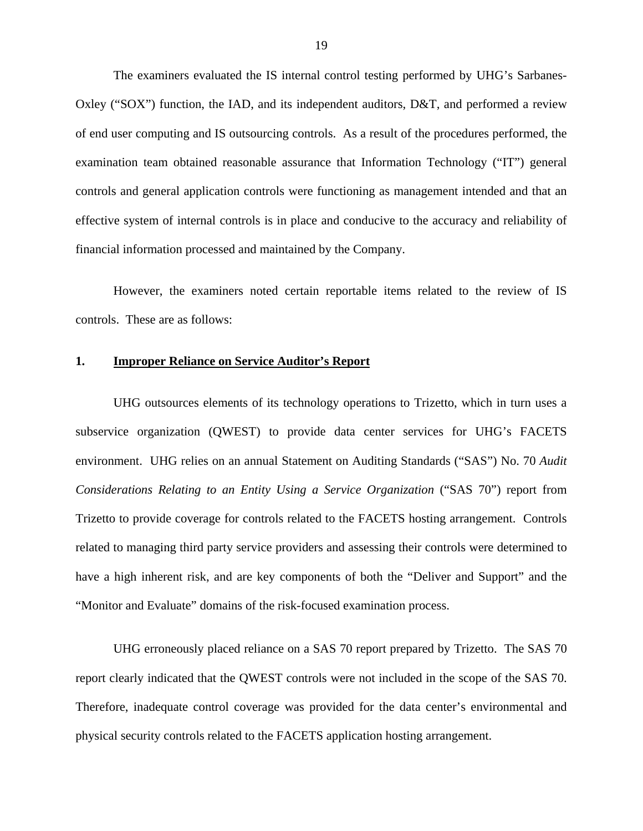The examiners evaluated the IS internal control testing performed by UHG's Sarbanes-Oxley ("SOX") function, the IAD, and its independent auditors, D&T, and performed a review of end user computing and IS outsourcing controls. As a result of the procedures performed, the examination team obtained reasonable assurance that Information Technology ("IT") general controls and general application controls were functioning as management intended and that an effective system of internal controls is in place and conducive to the accuracy and reliability of financial information processed and maintained by the Company.

However, the examiners noted certain reportable items related to the review of IS controls. These are as follows:

### **1. Improper Reliance on Service Auditor's Report**

UHG outsources elements of its technology operations to Trizetto, which in turn uses a subservice organization (QWEST) to provide data center services for UHG's FACETS environment. UHG relies on an annual Statement on Auditing Standards ("SAS") No. 70 *Audit Considerations Relating to an Entity Using a Service Organization* ("SAS 70") report from Trizetto to provide coverage for controls related to the FACETS hosting arrangement. Controls related to managing third party service providers and assessing their controls were determined to have a high inherent risk, and are key components of both the "Deliver and Support" and the "Monitor and Evaluate" domains of the risk-focused examination process.

UHG erroneously placed reliance on a SAS 70 report prepared by Trizetto. The SAS 70 report clearly indicated that the QWEST controls were not included in the scope of the SAS 70. Therefore, inadequate control coverage was provided for the data center's environmental and physical security controls related to the FACETS application hosting arrangement.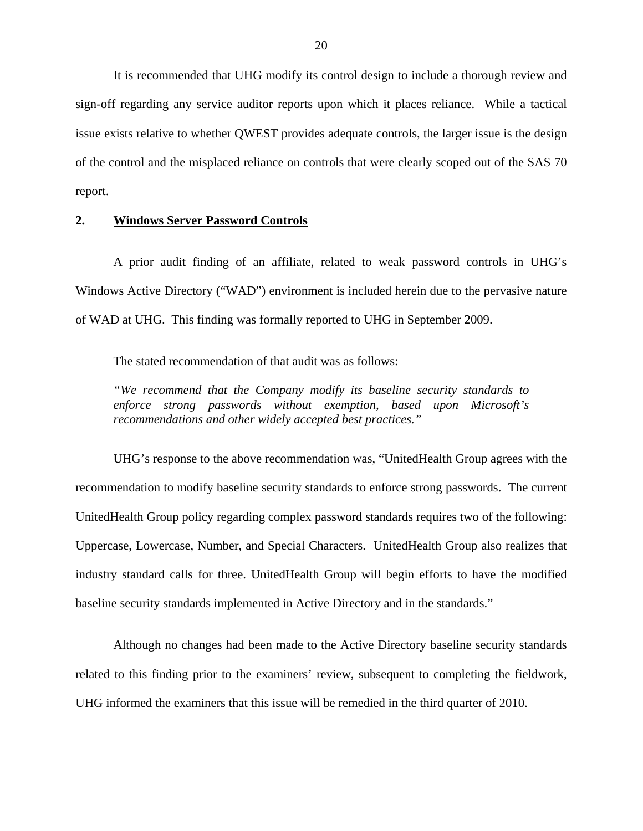It is recommended that UHG modify its control design to include a thorough review and sign-off regarding any service auditor reports upon which it places reliance. While a tactical issue exists relative to whether QWEST provides adequate controls, the larger issue is the design of the control and the misplaced reliance on controls that were clearly scoped out of the SAS 70 report.

### **2. Windows Server Password Controls**

A prior audit finding of an affiliate, related to weak password controls in UHG's Windows Active Directory ("WAD") environment is included herein due to the pervasive nature of WAD at UHG. This finding was formally reported to UHG in September 2009.

The stated recommendation of that audit was as follows:

*"We recommend that the Company modify its baseline security standards to enforce strong passwords without exemption, based upon Microsoft's recommendations and other widely accepted best practices."* 

UHG's response to the above recommendation was, "UnitedHealth Group agrees with the recommendation to modify baseline security standards to enforce strong passwords. The current UnitedHealth Group policy regarding complex password standards requires two of the following: Uppercase, Lowercase, Number, and Special Characters. UnitedHealth Group also realizes that industry standard calls for three. UnitedHealth Group will begin efforts to have the modified baseline security standards implemented in Active Directory and in the standards."

Although no changes had been made to the Active Directory baseline security standards related to this finding prior to the examiners' review, subsequent to completing the fieldwork, UHG informed the examiners that this issue will be remedied in the third quarter of 2010.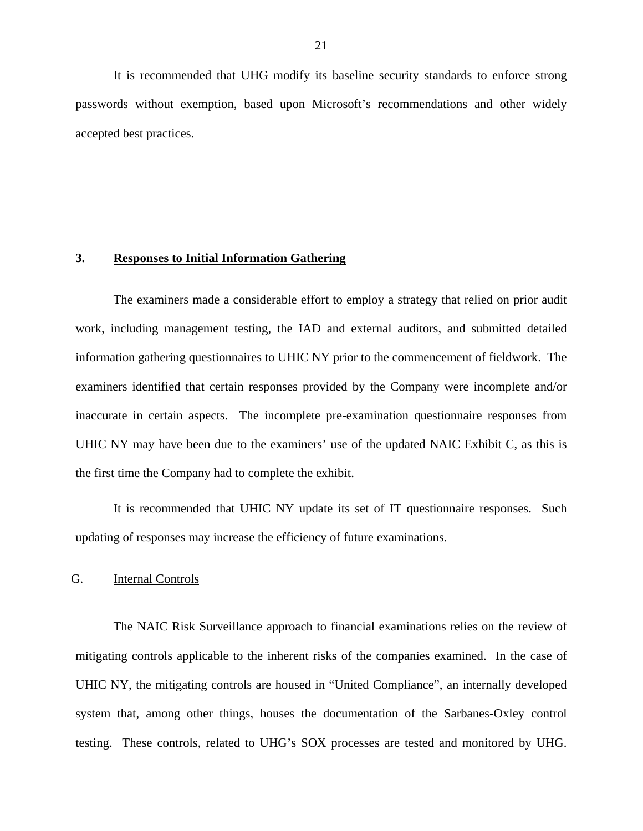<span id="page-22-0"></span>It is recommended that UHG modify its baseline security standards to enforce strong passwords without exemption, based upon Microsoft's recommendations and other widely accepted best practices.

### **3. Responses to Initial Information Gathering**

The examiners made a considerable effort to employ a strategy that relied on prior audit work, including management testing, the IAD and external auditors, and submitted detailed information gathering questionnaires to UHIC NY prior to the commencement of fieldwork. The examiners identified that certain responses provided by the Company were incomplete and/or inaccurate in certain aspects. The incomplete pre-examination questionnaire responses from UHIC NY may have been due to the examiners' use of the updated NAIC Exhibit C, as this is the first time the Company had to complete the exhibit.

It is recommended that UHIC NY update its set of IT questionnaire responses. Such updating of responses may increase the efficiency of future examinations.

### G. Internal Controls

The NAIC Risk Surveillance approach to financial examinations relies on the review of mitigating controls applicable to the inherent risks of the companies examined. In the case of UHIC NY, the mitigating controls are housed in "United Compliance", an internally developed system that, among other things, houses the documentation of the Sarbanes-Oxley control testing. These controls, related to UHG's SOX processes are tested and monitored by UHG.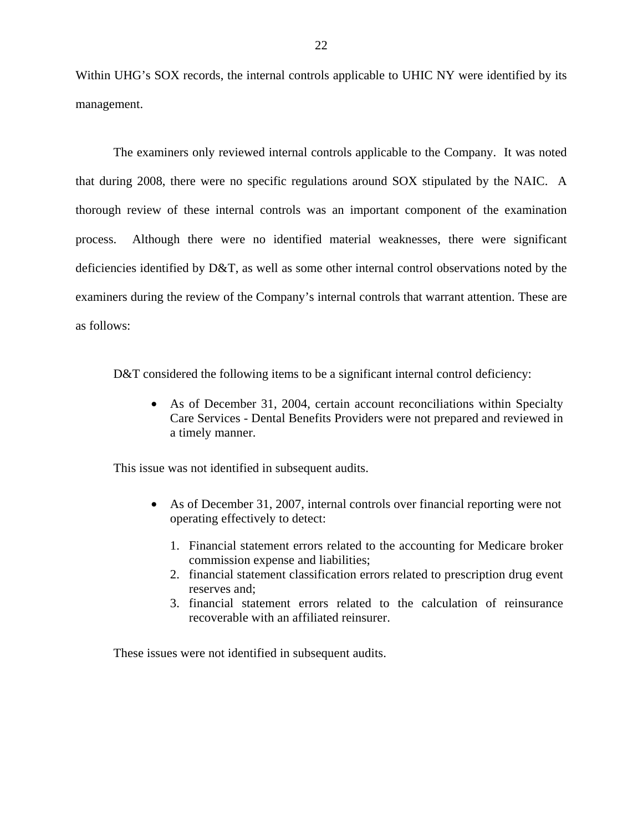Within UHG's SOX records, the internal controls applicable to UHIC NY were identified by its management.

The examiners only reviewed internal controls applicable to the Company. It was noted that during 2008, there were no specific regulations around SOX stipulated by the NAIC. A thorough review of these internal controls was an important component of the examination process. Although there were no identified material weaknesses, there were significant deficiencies identified by D&T, as well as some other internal control observations noted by the examiners during the review of the Company's internal controls that warrant attention. These are as follows:

D&T considered the following items to be a significant internal control deficiency:

• As of December 31, 2004, certain account reconciliations within Specialty Care Services - Dental Benefits Providers were not prepared and reviewed in a timely manner.

This issue was not identified in subsequent audits.

- As of December 31, 2007, internal controls over financial reporting were not operating effectively to detect:
	- 1. Financial statement errors related to the accounting for Medicare broker commission expense and liabilities;
	- 2. financial statement classification errors related to prescription drug event reserves and;
	- 3. financial statement errors related to the calculation of reinsurance recoverable with an affiliated reinsurer.

These issues were not identified in subsequent audits.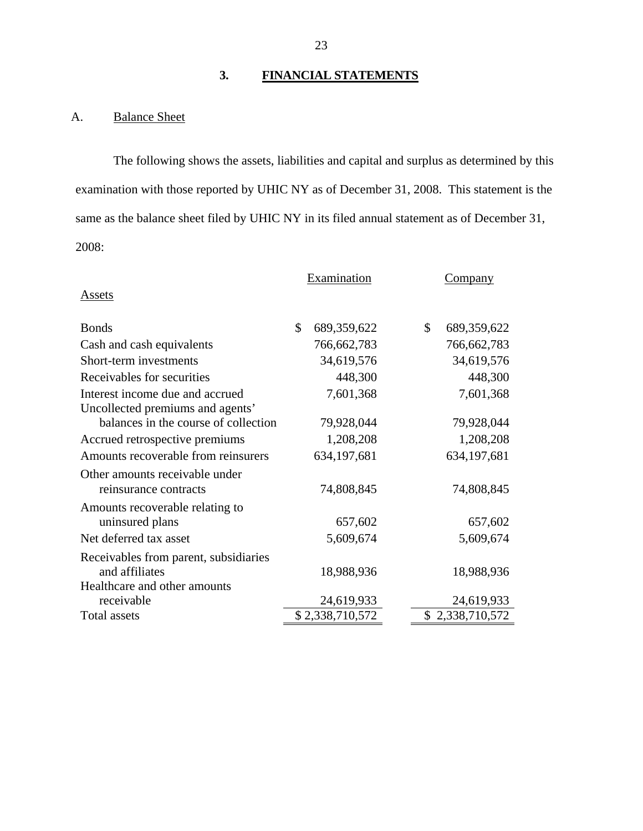# **3. FINANCIAL STATEMENTS**

# A. Balance Sheet

The following shows the assets, liabilities and capital and surplus as determined by this examination with those reported by UHIC NY as of December 31, 2008. This statement is the same as the balance sheet filed by UHIC NY in its filed annual statement as of December 31, 2008:

|                                                                          |    | Examination     | <b>Company</b>    |  |  |
|--------------------------------------------------------------------------|----|-----------------|-------------------|--|--|
| <b>Assets</b>                                                            |    |                 |                   |  |  |
| <b>Bonds</b>                                                             | \$ | 689,359,622     | \$<br>689,359,622 |  |  |
| Cash and cash equivalents                                                |    | 766, 662, 783   | 766, 662, 783     |  |  |
| Short-term investments                                                   |    | 34,619,576      | 34,619,576        |  |  |
| Receivables for securities                                               |    | 448,300         | 448,300           |  |  |
| Interest income due and accrued                                          |    | 7,601,368       | 7,601,368         |  |  |
| Uncollected premiums and agents'<br>balances in the course of collection |    | 79,928,044      | 79,928,044        |  |  |
| Accrued retrospective premiums                                           |    | 1,208,208       | 1,208,208         |  |  |
| Amounts recoverable from reinsurers                                      |    | 634,197,681     | 634,197,681       |  |  |
| Other amounts receivable under<br>reinsurance contracts                  |    | 74,808,845      | 74,808,845        |  |  |
| Amounts recoverable relating to                                          |    |                 |                   |  |  |
| uninsured plans                                                          |    | 657,602         | 657,602           |  |  |
| Net deferred tax asset                                                   |    | 5,609,674       | 5,609,674         |  |  |
| Receivables from parent, subsidiaries<br>and affiliates                  |    | 18,988,936      | 18,988,936        |  |  |
| Healthcare and other amounts<br>receivable                               |    | 24,619,933      | 24,619,933        |  |  |
| Total assets                                                             |    | \$2,338,710,572 | \$2,338,710,572   |  |  |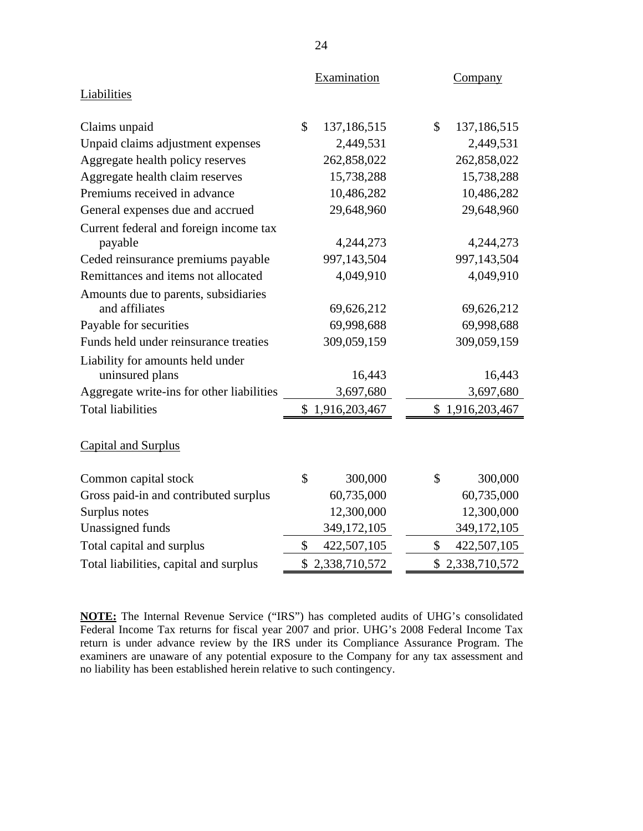|                                           | Examination |                 |               | Company         |  |
|-------------------------------------------|-------------|-----------------|---------------|-----------------|--|
| Liabilities                               |             |                 |               |                 |  |
| Claims unpaid                             | \$          | 137,186,515     | \$            | 137,186,515     |  |
| Unpaid claims adjustment expenses         |             | 2,449,531       |               | 2,449,531       |  |
| Aggregate health policy reserves          |             | 262,858,022     |               | 262,858,022     |  |
| Aggregate health claim reserves           |             | 15,738,288      |               | 15,738,288      |  |
| Premiums received in advance              |             | 10,486,282      |               | 10,486,282      |  |
| General expenses due and accrued          |             | 29,648,960      |               | 29,648,960      |  |
| Current federal and foreign income tax    |             |                 |               |                 |  |
| payable                                   |             | 4,244,273       |               | 4,244,273       |  |
| Ceded reinsurance premiums payable        |             | 997,143,504     |               | 997,143,504     |  |
| Remittances and items not allocated       |             | 4,049,910       |               | 4,049,910       |  |
| Amounts due to parents, subsidiaries      |             |                 |               |                 |  |
| and affiliates                            |             | 69,626,212      |               | 69,626,212      |  |
| Payable for securities                    |             | 69,998,688      |               | 69,998,688      |  |
| Funds held under reinsurance treaties     |             | 309,059,159     |               | 309,059,159     |  |
| Liability for amounts held under          |             |                 |               |                 |  |
| uninsured plans                           |             | 16,443          |               | 16,443          |  |
| Aggregate write-ins for other liabilities |             | 3,697,680       |               | 3,697,680       |  |
| <b>Total liabilities</b>                  |             | \$1,916,203,467 |               | \$1,916,203,467 |  |
| <b>Capital and Surplus</b>                |             |                 |               |                 |  |
| Common capital stock                      | \$          | 300,000         | $\mathcal{S}$ | 300,000         |  |
| Gross paid-in and contributed surplus     |             | 60,735,000      |               | 60,735,000      |  |
| Surplus notes                             |             | 12,300,000      |               | 12,300,000      |  |
| Unassigned funds                          |             | 349,172,105     |               | 349,172,105     |  |
| Total capital and surplus                 | \$          | 422,507,105     | \$            | 422,507,105     |  |
| Total liabilities, capital and surplus    |             | \$2,338,710,572 |               | \$2,338,710,572 |  |
|                                           |             |                 |               |                 |  |

**NOTE:** The Internal Revenue Service ("IRS") has completed audits of UHG's consolidated Federal Income Tax returns for fiscal year 2007 and prior. UHG's 2008 Federal Income Tax return is under advance review by the IRS under its Compliance Assurance Program. The examiners are unaware of any potential exposure to the Company for any tax assessment and no liability has been established herein relative to such contingency.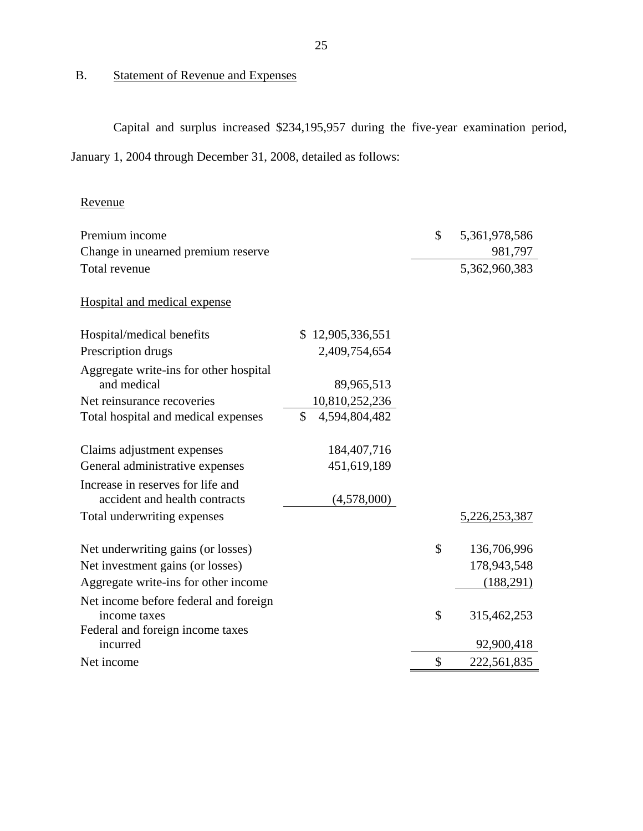# B. Statement of Revenue and Expenses

Capital and surplus increased \$234,195,957 during the five-year examination period, January 1, 2004 through December 31, 2008, detailed as follows:

| Revenue                                                            |                     |                     |
|--------------------------------------------------------------------|---------------------|---------------------|
| Premium income                                                     |                     | \$<br>5,361,978,586 |
| Change in unearned premium reserve                                 |                     | 981,797             |
| Total revenue                                                      |                     | 5,362,960,383       |
| Hospital and medical expense                                       |                     |                     |
| Hospital/medical benefits                                          | \$12,905,336,551    |                     |
| Prescription drugs                                                 | 2,409,754,654       |                     |
| Aggregate write-ins for other hospital                             |                     |                     |
| and medical                                                        | 89,965,513          |                     |
| Net reinsurance recoveries                                         | 10,810,252,236      |                     |
| Total hospital and medical expenses                                | \$<br>4,594,804,482 |                     |
| Claims adjustment expenses                                         | 184, 407, 716       |                     |
| General administrative expenses                                    | 451,619,189         |                     |
| Increase in reserves for life and<br>accident and health contracts | (4,578,000)         |                     |
| Total underwriting expenses                                        |                     | 5,226,253,387       |
| Net underwriting gains (or losses)                                 |                     | \$<br>136,706,996   |
| Net investment gains (or losses)                                   |                     | 178,943,548         |
| Aggregate write-ins for other income                               |                     | (188,291)           |
| Net income before federal and foreign                              |                     |                     |
| income taxes                                                       |                     | \$<br>315,462,253   |
| Federal and foreign income taxes                                   |                     |                     |
| incurred                                                           |                     | 92,900,418          |
| Net income                                                         |                     | \$<br>222,561,835   |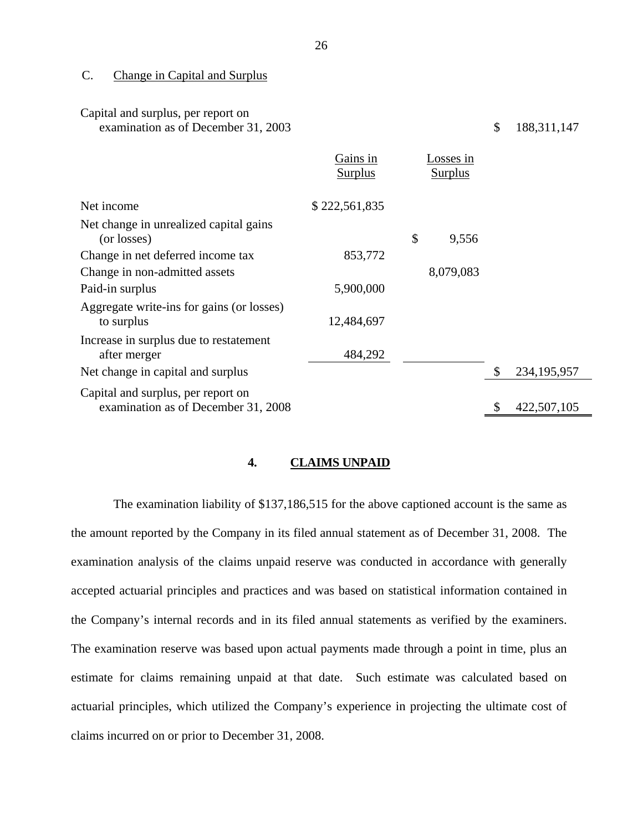C. Change in Capital and Surplus

| Capital and surplus, per report on<br>examination as of December 31, 2003 |                            |                             | \$<br>188, 311, 147 |
|---------------------------------------------------------------------------|----------------------------|-----------------------------|---------------------|
|                                                                           | Gains in<br><b>Surplus</b> | Losses in<br><b>Surplus</b> |                     |
| Net income                                                                | \$222,561,835              |                             |                     |
| Net change in unrealized capital gains<br>(or losses)                     |                            | \$<br>9,556                 |                     |
| Change in net deferred income tax                                         | 853,772                    |                             |                     |
| Change in non-admitted assets                                             |                            | 8,079,083                   |                     |
| Paid-in surplus                                                           | 5,900,000                  |                             |                     |
| Aggregate write-ins for gains (or losses)<br>to surplus                   | 12,484,697                 |                             |                     |
| Increase in surplus due to restatement<br>after merger                    | 484,292                    |                             |                     |
| Net change in capital and surplus                                         |                            |                             | \$<br>234, 195, 957 |
| Capital and surplus, per report on<br>examination as of December 31, 2008 |                            |                             | \$<br>422,507,105   |

### **4. CLAIMS UNPAID**

The examination liability of \$137,186,515 for the above captioned account is the same as the amount reported by the Company in its filed annual statement as of December 31, 2008. The examination analysis of the claims unpaid reserve was conducted in accordance with generally accepted actuarial principles and practices and was based on statistical information contained in the Company's internal records and in its filed annual statements as verified by the examiners. The examination reserve was based upon actual payments made through a point in time, plus an estimate for claims remaining unpaid at that date. Such estimate was calculated based on actuarial principles, which utilized the Company's experience in projecting the ultimate cost of claims incurred on or prior to December 31, 2008.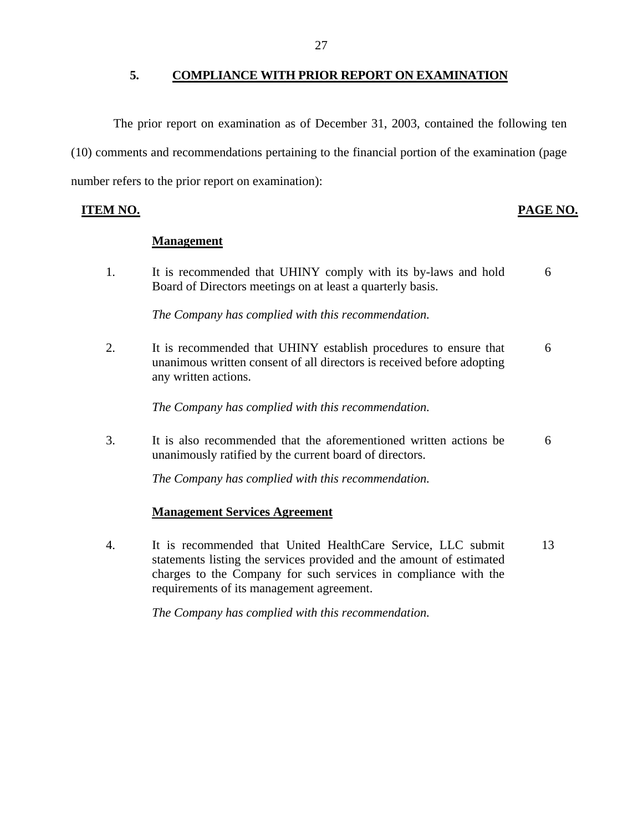### **5. COMPLIANCE WITH PRIOR REPORT ON EXAMINATION**

<span id="page-28-0"></span>The prior report on examination as of December 31, 2003, contained the following ten (10) comments and recommendations pertaining to the financial portion of the examination (page number refers to the prior report on examination):

**ITEM NO. PAGE NO.** 

### **Management**

1. It is recommended that UHINY comply with its by-laws and hold 6 Board of Directors meetings on at least a quarterly basis.

*The Company has complied with this recommendation.* 

2. It is recommended that UHINY establish procedures to ensure that 6 unanimous written consent of all directors is received before adopting any written actions.

*The Company has complied with this recommendation.* 

3. It is also recommended that the aforementioned written actions be 6 unanimously ratified by the current board of directors.

*The Company has complied with this recommendation.* 

## **Management Services Agreement**

4. It is recommended that United HealthCare Service, LLC submit 13 statements listing the services provided and the amount of estimated charges to the Company for such services in compliance with the requirements of its management agreement.

*The Company has complied with this recommendation.*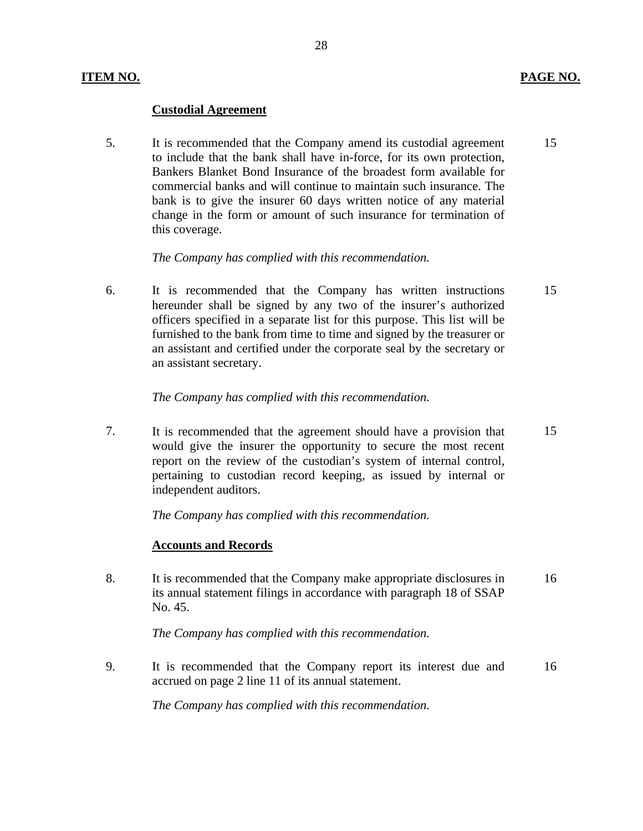### **Custodial Agreement**

5. It is recommended that the Company amend its custodial agreement 15 to include that the bank shall have in-force, for its own protection, Bankers Blanket Bond Insurance of the broadest form available for commercial banks and will continue to maintain such insurance. The bank is to give the insurer 60 days written notice of any material change in the form or amount of such insurance for termination of this coverage.

28

### *The Company has complied with this recommendation.*

6. It is recommended that the Company has written instructions 15 hereunder shall be signed by any two of the insurer's authorized officers specified in a separate list for this purpose. This list will be furnished to the bank from time to time and signed by the treasurer or an assistant and certified under the corporate seal by the secretary or an assistant secretary.

### *The Company has complied with this recommendation.*

7. It is recommended that the agreement should have a provision that 15 would give the insurer the opportunity to secure the most recent report on the review of the custodian's system of internal control, pertaining to custodian record keeping, as issued by internal or independent auditors.

*The Company has complied with this recommendation.* 

### **Accounts and Records**

8. It is recommended that the Company make appropriate disclosures in 16 its annual statement filings in accordance with paragraph 18 of SSAP No. 45.

*The Company has complied with this recommendation.* 

9. It is recommended that the Company report its interest due and 16 accrued on page 2 line 11 of its annual statement.

*The Company has complied with this recommendation.*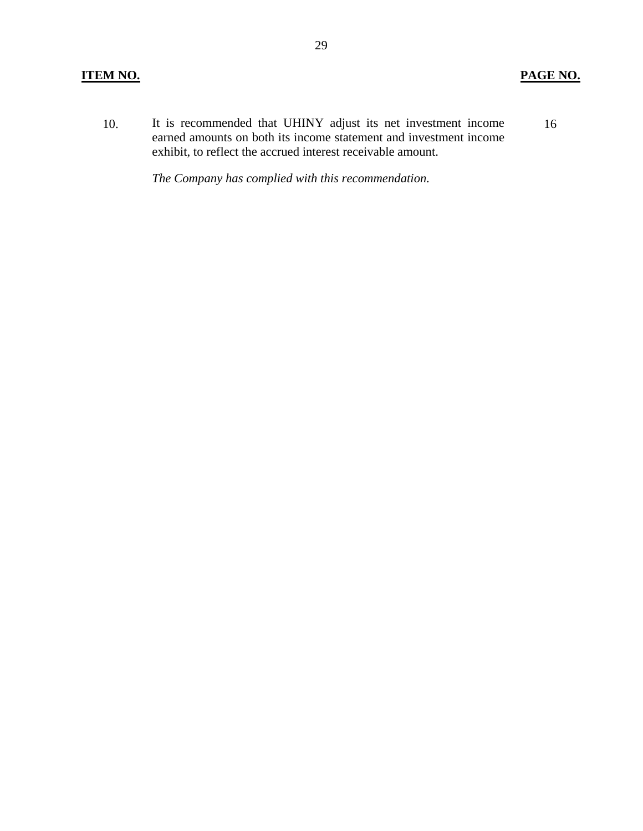### **ITEM NO. PAGE NO.**

10. It is recommended that UHINY adjust its net investment income earned amounts on both its income statement and investment income exhibit, to reflect the accrued interest receivable amount. 16

*The Company has complied with this recommendation.*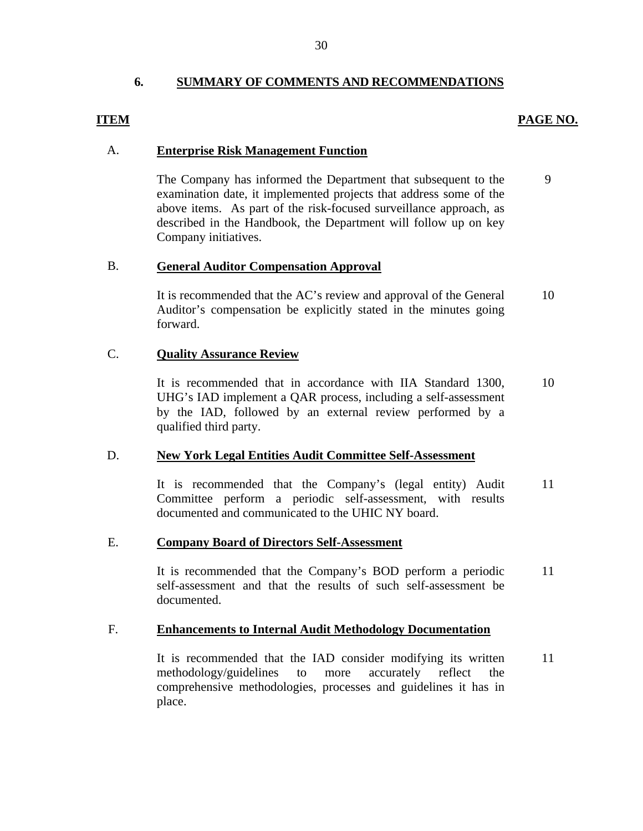### **6. SUMMARY OF COMMENTS AND RECOMMENDATIONS**

### **PAGE NO.**

9

### **ITEM**

### A. **Enterprise Risk Management Function**

The Company has informed the Department that subsequent to the examination date, it implemented projects that address some of the above items. As part of the risk-focused surveillance approach, as described in the Handbook, the Department will follow up on key Company initiatives.

### B. **General Auditor Compensation Approval**

It is recommended that the AC's review and approval of the General Auditor's compensation be explicitly stated in the minutes going forward. 10

### C. **Quality Assurance Review**

It is recommended that in accordance with IIA Standard 1300, UHG's IAD implement a QAR process, including a self-assessment by the IAD, followed by an external review performed by a qualified third party. 10

### D. **New York Legal Entities Audit Committee Self-Assessment**

It is recommended that the Company's (legal entity) Audit Committee perform a periodic self-assessment, with results documented and communicated to the UHIC NY board. 11

### E. **Company Board of Directors Self-Assessment**

It is recommended that the Company's BOD perform a periodic self-assessment and that the results of such self-assessment be documented. 11

### F. **Enhancements to Internal Audit Methodology Documentation**

It is recommended that the IAD consider modifying its written methodology/guidelines to more accurately reflect the comprehensive methodologies, processes and guidelines it has in place. 11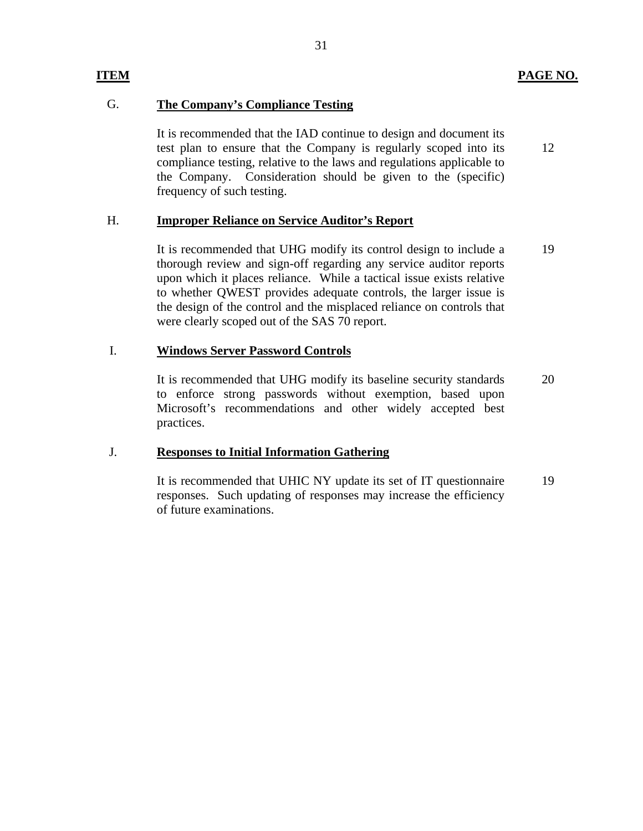12

# **ITEM**

# G. **The Company's Compliance Testing**

It is recommended that the IAD continue to design and document its test plan to ensure that the Company is regularly scoped into its compliance testing, relative to the laws and regulations applicable to the Company. Consideration should be given to the (specific) frequency of such testing.

### H. **Improper Reliance on Service Auditor's Report**

It is recommended that UHG modify its control design to include a thorough review and sign-off regarding any service auditor reports upon which it places reliance. While a tactical issue exists relative to whether QWEST provides adequate controls, the larger issue is the design of the control and the misplaced reliance on controls that were clearly scoped out of the SAS 70 report. 19

### I. **Windows Server Password Controls**

It is recommended that UHG modify its baseline security standards to enforce strong passwords without exemption, based upon Microsoft's recommendations and other widely accepted best practices. 20

### J. **Responses to Initial Information Gathering**

It is recommended that UHIC NY update its set of IT questionnaire responses. Such updating of responses may increase the efficiency of future examinations. 19